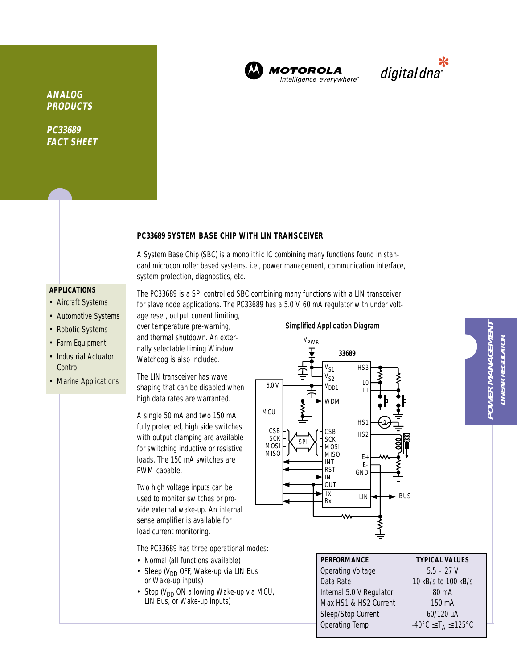

**MOTOROLA** intelligence everywhere"



**ANALOG PRODUCTS**

**PC33689 FACT SHEET**

## **PC33689 SYSTEM BASE CHIP WITH LIN TRANSCEIVER**

A System Base Chip (SBC) is a monolithic IC combining many functions found in standard microcontroller based systems. i.e., power management, communication interface, system protection, diagnostics, etc.

The PC33689 is a SPI controlled SBC combining many functions with a LIN transceiver for slave node applications. The PC33689 has a 5.0 V, 60 mA regulator with under volt-

## **APPLICATIONS**

- Aircraft Systems
- Automotive Systems
- Robotic Systems
- Farm Equipment
- Industrial Actuator **Control**
- Marine Applications

age reset, output current limiting, over temperature pre-warning, and thermal shutdown. An externally selectable timing Window Watchdog is also included.

The LIN transceiver has wave shaping that can be disabled when high data rates are warranted.

A single 50 mA and two 150 mA fully protected, high side switches with output clamping are available for switching inductive or resistive loads. The 150 mA switches are PWM capable.

Two high voltage inputs can be used to monitor switches or provide external wake-up. An internal sense amplifier is available for load current monitoring.

The PC33689 has three operational modes:

- Normal (all functions available)
- Sleep ( $V_{DD}$  OFF, Wake-up via LIN Bus or Wake-up inputs)
- Stop ( $V_{DD}$  ON allowing Wake-up via MCU, LIN Bus, or Wake-up inputs)



# **PERFORMANCE TYPICAL VALUES**

Operating Voltage 5.5 – 27 V Data Rate 10 kB/s to 100 kB/s Internal 5.0 V Regulator 80 mA Max HS1 & HS2 Current 150 mA Sleep/Stop Current 60/120 µA Operating Temp  $-40^{\circ}$ C  $\leq$  T<sub>A</sub>  $\leq$  125°C

**POWER MANAGEMENT** POWER MANAGEMENT **INEAR REGULATOR LINEAR REGULATOR**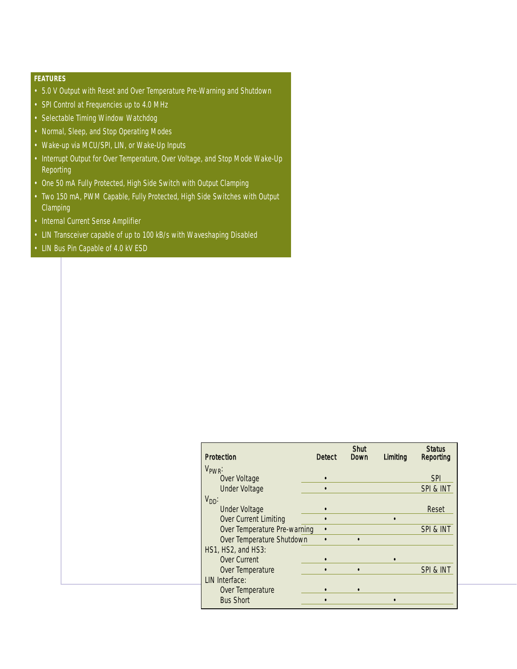# **FEATURES**

- 5.0 V Output with Reset and Over Temperature Pre-Warning and Shutdown
- SPI Control at Frequencies up to 4.0 MHz
- Selectable Timing Window Watchdog
- Normal, Sleep, and Stop Operating Modes
- Wake-up via MCU/SPI, LIN, or Wake-Up Inputs
- Interrupt Output for Over Temperature, Over Voltage, and Stop Mode Wake-Up Reporting
- One 50 mA Fully Protected, High Side Switch with Output Clamping
- Two 150 mA, PWM Capable, Fully Protected, High Side Switches with Output **Clamping**
- Internal Current Sense Amplifier
- LIN Transceiver capable of up to 100 kB/s with Waveshaping Disabled
- LIN Bus Pin Capable of 4.0 kV ESD

| <b>Protection</b>            | <b>Detect</b> | <b>Shut</b><br>Down | Limiting | <b>Status</b><br>Reporting |
|------------------------------|---------------|---------------------|----------|----------------------------|
| V <sub>PWR</sub> :           |               |                     |          |                            |
| Over Voltage                 |               |                     |          | <b>SPI</b>                 |
| <b>Under Voltage</b>         |               |                     |          | SPI & INT                  |
| $V_{DD}$ :                   |               |                     |          |                            |
| <b>Under Voltage</b>         |               |                     |          | Reset                      |
| Over Current Limiting        |               |                     |          |                            |
| Over Temperature Pre-warning |               |                     |          | SPI & INT                  |
| Over Temperature Shutdown    |               |                     |          |                            |
| HS1, HS2, and HS3:           |               |                     |          |                            |
| Over Current                 |               |                     |          |                            |
| Over Temperature             |               |                     |          | SPI & INT                  |
| LIN Interface:               |               |                     |          |                            |
| Over Temperature             |               |                     |          |                            |
| <b>Bus Short</b>             |               |                     |          |                            |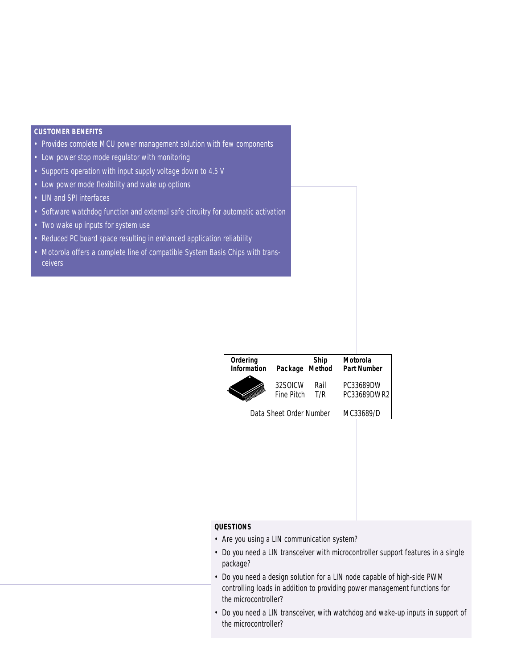### **CUSTOMER BENEFITS**

- Provides complete MCU power management solution with few components
- Low power stop mode regulator with monitoring
- Supports operation with input supply voltage down to 4.5 V
- Low power mode flexibility and wake up options
- LIN and SPI interfaces
- Software watchdog function and external safe circuitry for automatic activation
- Two wake up inputs for system use
- Reduced PC board space resulting in enhanced application reliability
- Motorola offers a complete line of compatible System Basis Chips with transceivers

| Ordering<br><b>Information</b> | Package Method          | <b>Ship</b> | Motorola<br><b>Part Number</b> |
|--------------------------------|-------------------------|-------------|--------------------------------|
|                                | 32SOICW<br>Fine Pitch   | Rail<br>T/R | PC33689DW<br>PC33689DWR2       |
|                                | Data Sheet Order Number |             | MC33689/D                      |

## **QUESTIONS**

- Are you using a LIN communication system?
- Do you need a LIN transceiver with microcontroller support features in a single package?
- Do you need a design solution for a LIN node capable of high-side PWM controlling loads in addition to providing power management functions for the microcontroller?
- Do you need a LIN transceiver, with watchdog and wake-up inputs in support of the microcontroller?